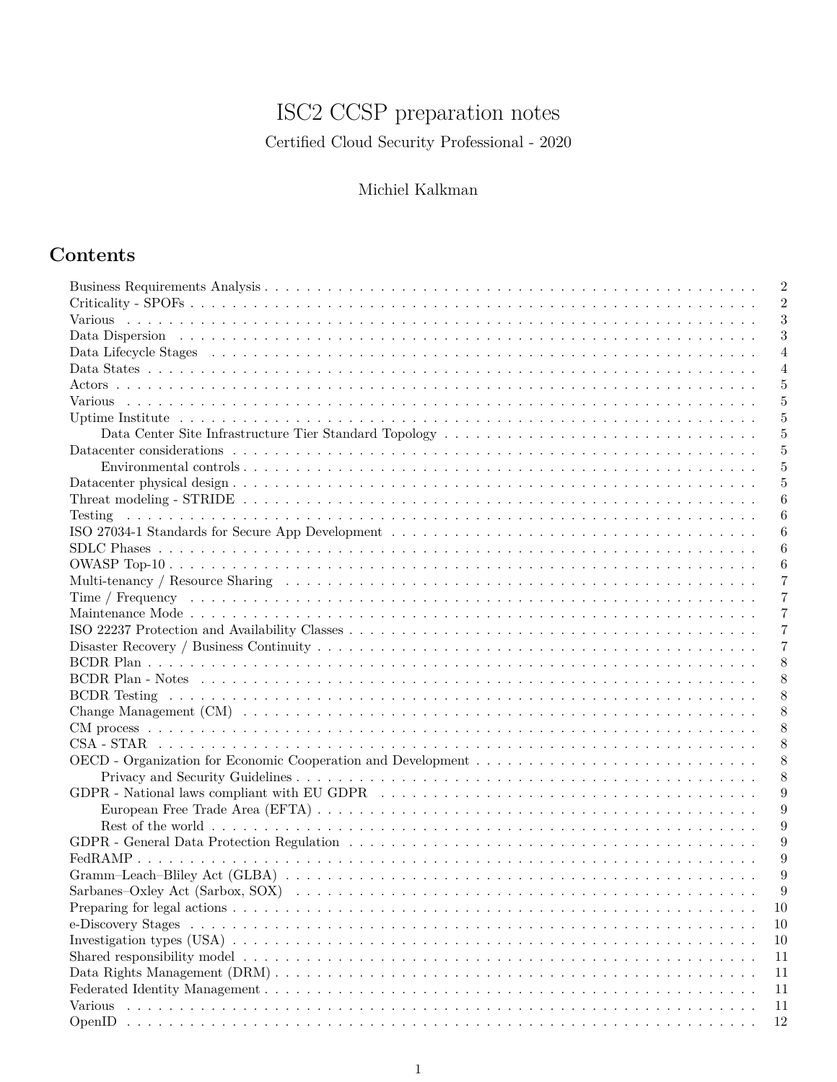# ISC2 CCSP preparation notes

Certified Cloud Security Professional - 2020

# Michiel Kalkman

# **Contents**

|                                                                                                                                                                                                                                | $\overline{2}$<br>$\overline{2}$ |
|--------------------------------------------------------------------------------------------------------------------------------------------------------------------------------------------------------------------------------|----------------------------------|
|                                                                                                                                                                                                                                | 3                                |
|                                                                                                                                                                                                                                | 3                                |
| Data Lifecycle Stages (also contained also contained also contained also contained a Lifecycle Stages (also contained a contained also contained also contained a contained also contained a contained also contained a contai |                                  |
|                                                                                                                                                                                                                                | 4                                |
|                                                                                                                                                                                                                                | $\overline{4}$                   |
|                                                                                                                                                                                                                                | 5                                |
|                                                                                                                                                                                                                                | 5                                |
|                                                                                                                                                                                                                                | 5                                |
|                                                                                                                                                                                                                                | 5                                |
|                                                                                                                                                                                                                                | 5                                |
|                                                                                                                                                                                                                                | 5                                |
|                                                                                                                                                                                                                                | 5                                |
|                                                                                                                                                                                                                                | 6                                |
| <u>. Kanada ang kalamatan sa kalamatan sa kalamatan sa kalamatan sa kalamatan sa kalamatan sa kalamatan sa kalama</u><br>Testing                                                                                               | 6                                |
|                                                                                                                                                                                                                                | 6                                |
|                                                                                                                                                                                                                                | 6                                |
|                                                                                                                                                                                                                                | 6                                |
|                                                                                                                                                                                                                                | 7                                |
|                                                                                                                                                                                                                                | 7                                |
|                                                                                                                                                                                                                                | 7                                |
|                                                                                                                                                                                                                                | 7                                |
|                                                                                                                                                                                                                                | 7                                |
|                                                                                                                                                                                                                                | 8                                |
|                                                                                                                                                                                                                                | 8                                |
|                                                                                                                                                                                                                                | 8                                |
|                                                                                                                                                                                                                                | 8                                |
|                                                                                                                                                                                                                                | 8                                |
|                                                                                                                                                                                                                                | 8                                |
|                                                                                                                                                                                                                                | 8                                |
|                                                                                                                                                                                                                                | 8                                |
|                                                                                                                                                                                                                                | 9                                |
|                                                                                                                                                                                                                                | 9                                |
|                                                                                                                                                                                                                                | 9                                |
|                                                                                                                                                                                                                                | 9                                |
|                                                                                                                                                                                                                                | 9                                |
|                                                                                                                                                                                                                                | 9                                |
| Sarbanes-Oxley Act (Sarbox, SOX) doctors and the contract of the contract of the contract of the contract of t                                                                                                                 | 9                                |
|                                                                                                                                                                                                                                | 10                               |
| e-Discovery Stages                                                                                                                                                                                                             | 10                               |
|                                                                                                                                                                                                                                |                                  |
|                                                                                                                                                                                                                                | 10                               |
|                                                                                                                                                                                                                                | 11                               |
|                                                                                                                                                                                                                                | 11                               |
|                                                                                                                                                                                                                                | 11                               |
| Various                                                                                                                                                                                                                        | 11                               |
| OpenID                                                                                                                                                                                                                         | 12                               |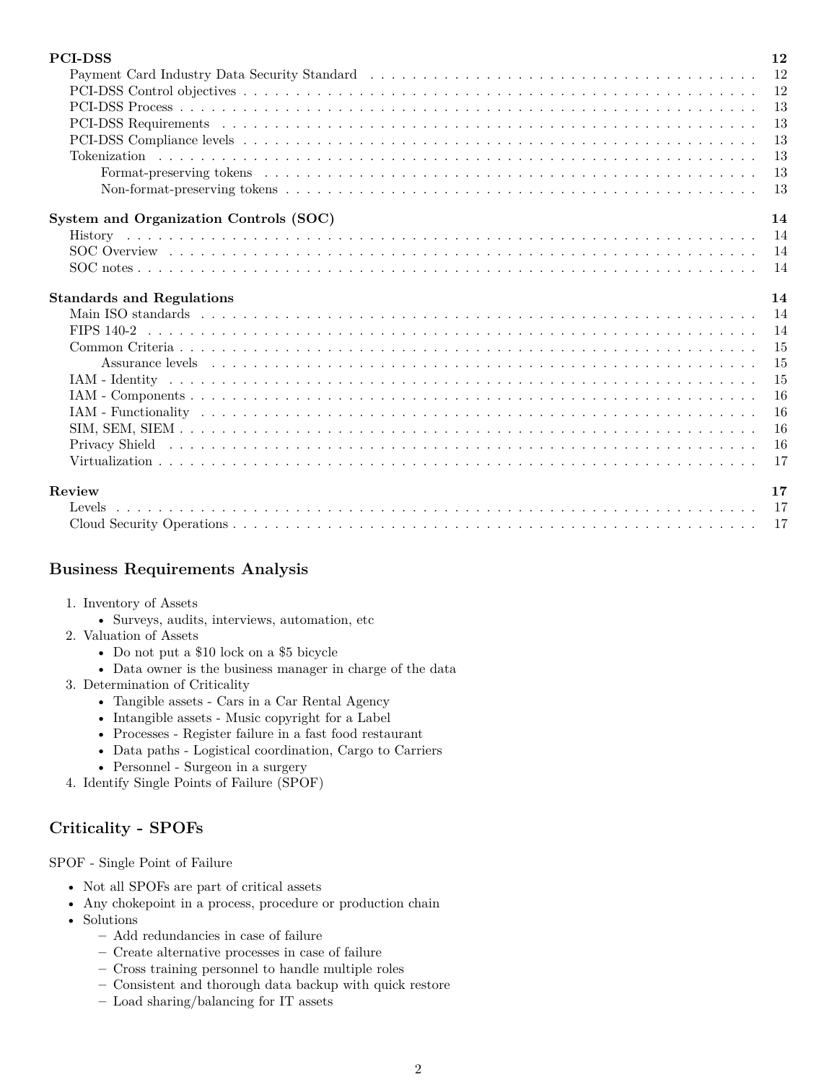| <b>PCI-DSS</b>                                                                                                                                                                                                                 | 12        |
|--------------------------------------------------------------------------------------------------------------------------------------------------------------------------------------------------------------------------------|-----------|
| Payment Card Industry Data Security Standard (a) respectively and the contract of the contract of the contract of the contract of the contract of the contract of the contract of the contract of the contract of the contract | 12        |
|                                                                                                                                                                                                                                | 12        |
|                                                                                                                                                                                                                                | 13        |
|                                                                                                                                                                                                                                | 13        |
|                                                                                                                                                                                                                                | 13        |
|                                                                                                                                                                                                                                | 13        |
|                                                                                                                                                                                                                                | 13        |
|                                                                                                                                                                                                                                | 13        |
| System and Organization Controls (SOC)                                                                                                                                                                                         | 14        |
|                                                                                                                                                                                                                                | - 14      |
|                                                                                                                                                                                                                                |           |
|                                                                                                                                                                                                                                | -14       |
| <b>Standards and Regulations</b>                                                                                                                                                                                               | 14        |
|                                                                                                                                                                                                                                | 14        |
|                                                                                                                                                                                                                                | -14       |
|                                                                                                                                                                                                                                | 15        |
|                                                                                                                                                                                                                                | 15        |
|                                                                                                                                                                                                                                | 15        |
|                                                                                                                                                                                                                                | 16        |
|                                                                                                                                                                                                                                | 16        |
|                                                                                                                                                                                                                                | 16        |
|                                                                                                                                                                                                                                | <b>16</b> |
|                                                                                                                                                                                                                                | 17        |
| Review                                                                                                                                                                                                                         | 17        |
|                                                                                                                                                                                                                                | -17       |
|                                                                                                                                                                                                                                | -17       |

# <span id="page-1-0"></span>**Business Requirements Analysis**

- 1. Inventory of Assets
	- Surveys, audits, interviews, automation, etc
- 2. Valuation of Assets
	- Do not put a \$10 lock on a \$5 bicycle
	- Data owner is the business manager in charge of the data
- 3. Determination of Criticality
	- Tangible assets Cars in a Car Rental Agency
	- Intangible assets Music copyright for a Label
	- Processes Register failure in a fast food restaurant
	- Data paths Logistical coordination, Cargo to Carriers
	- Personnel Surgeon in a surgery
- 4. Identify Single Points of Failure (SPOF)

# <span id="page-1-1"></span>**Criticality - SPOFs**

SPOF - Single Point of Failure

- Not all SPOFs are part of critical assets
- Any chokepoint in a process, procedure or production chain
- Solutions
	- **–** Add redundancies in case of failure
	- **–** Create alternative processes in case of failure
	- **–** Cross training personnel to handle multiple roles
	- **–** Consistent and thorough data backup with quick restore
	- **–** Load sharing/balancing for IT assets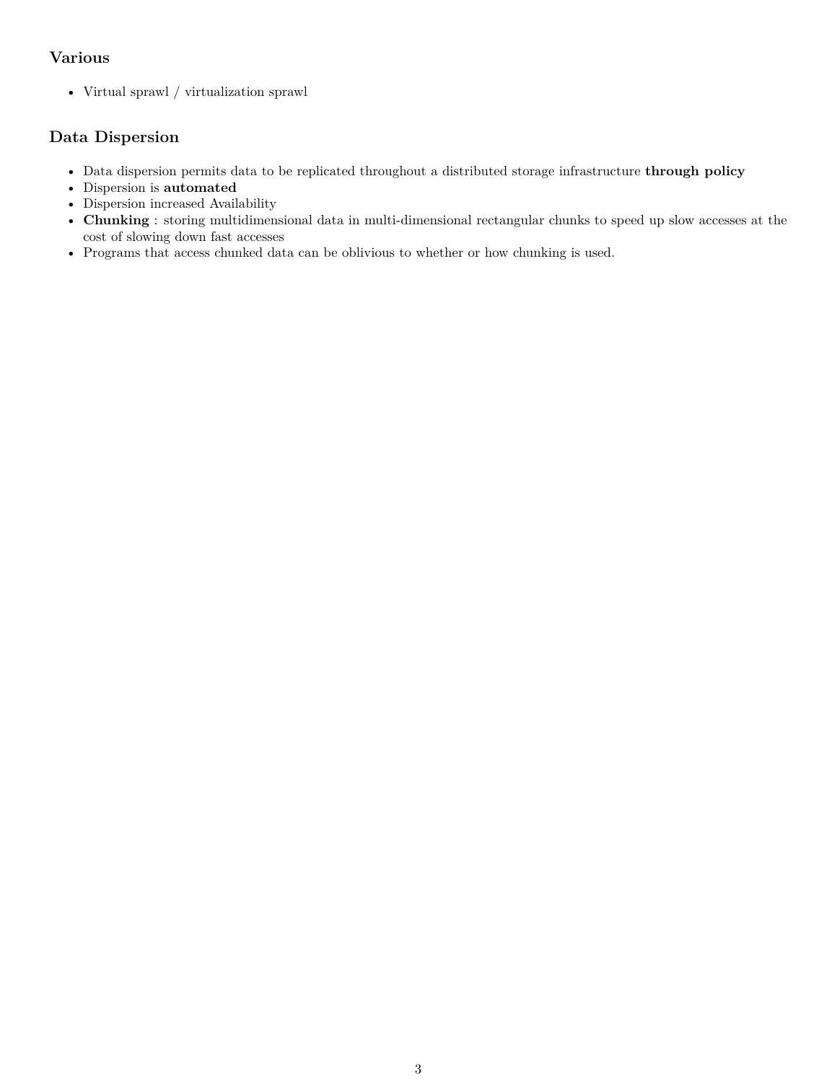# <span id="page-2-0"></span>**Various**

• Virtual sprawl / virtualization sprawl

# <span id="page-2-1"></span>**Data Dispersion**

- Data dispersion permits data to be replicated throughout a distributed storage infrastructure **through policy**
- Dispersion is **automated**
- Dispersion increased Availability
- **Chunking** : storing multidimensional data in multi-dimensional rectangular chunks to speed up slow accesses at the cost of slowing down fast accesses
- Programs that access chunked data can be oblivious to whether or how chunking is used.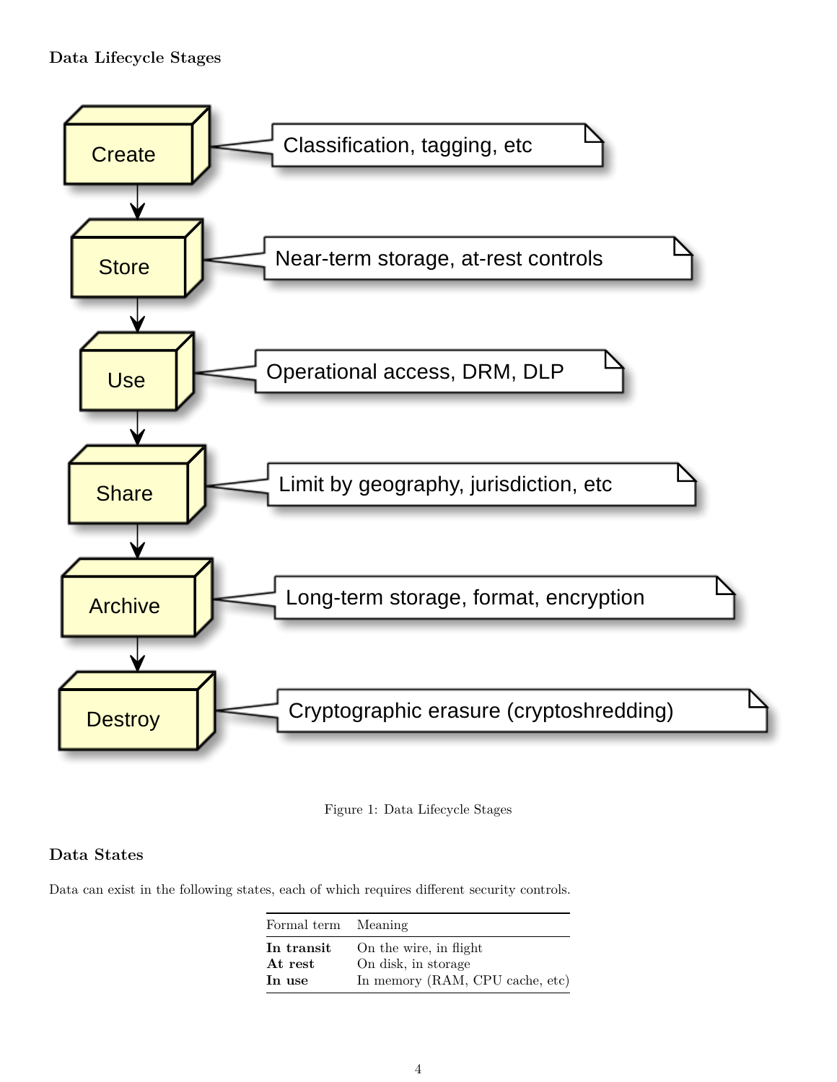<span id="page-3-0"></span>

Figure 1: Data Lifecycle Stages

# <span id="page-3-1"></span>**Data States**

Data can exist in the following states, each of which requires different security controls.

| Formal term Meaning |                                 |
|---------------------|---------------------------------|
| In transit          | On the wire, in flight          |
| At rest             | On disk, in storage             |
| In use              | In memory (RAM, CPU cache, etc) |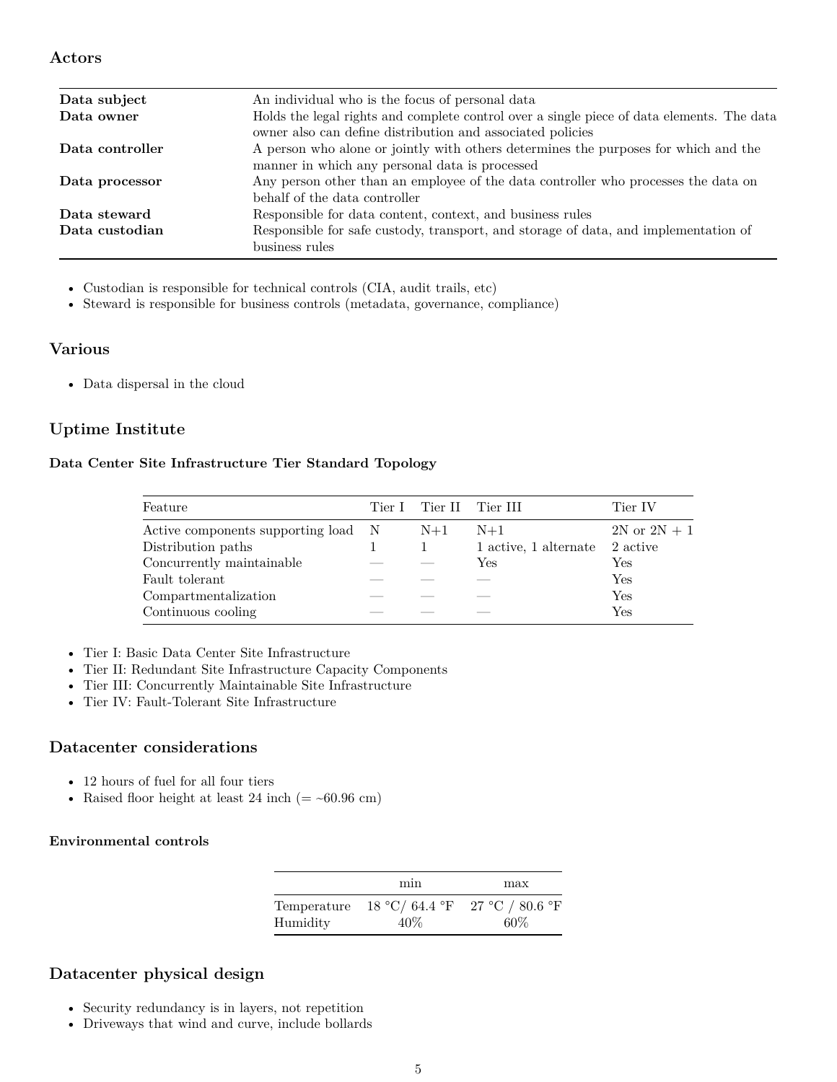### <span id="page-4-0"></span>**Actors**

| Data subject    | An individual who is the focus of personal data                                            |
|-----------------|--------------------------------------------------------------------------------------------|
| Data owner      | Holds the legal rights and complete control over a single piece of data elements. The data |
|                 | owner also can define distribution and associated policies                                 |
| Data controller | A person who alone or jointly with others determines the purposes for which and the        |
|                 | manner in which any personal data is processed                                             |
| Data processor  | Any person other than an employee of the data controller who processes the data on         |
|                 | behalf of the data controller                                                              |
| Data steward    | Responsible for data content, context, and business rules                                  |
| Data custodian  | Responsible for safe custody, transport, and storage of data, and implementation of        |
|                 | business rules                                                                             |
|                 |                                                                                            |

• Custodian is responsible for technical controls (CIA, audit trails, etc)

• Steward is responsible for business controls (metadata, governance, compliance)

### <span id="page-4-1"></span>**Various**

• Data dispersal in the cloud

# <span id="page-4-2"></span>**Uptime Institute**

#### <span id="page-4-3"></span>**Data Center Site Infrastructure Tier Standard Topology**

| Feature                             | Tier I Tier II Tier III |                       | Tier IV                 |
|-------------------------------------|-------------------------|-----------------------|-------------------------|
| Active components supporting load N | $N+1$                   | $N+1$                 | $2N \text{ or } 2N + 1$ |
| Distribution paths                  |                         | 1 active, 1 alternate | 2 active                |
| Concurrently maintainable           |                         | Yes                   | Yes                     |
| Fault tolerant                      |                         |                       | Yes                     |
| Compartmentalization                |                         |                       | Yes                     |
| Continuous cooling                  |                         |                       | Yes                     |

- Tier I: Basic Data Center Site Infrastructure
- Tier II: Redundant Site Infrastructure Capacity Components
- Tier III: Concurrently Maintainable Site Infrastructure
- Tier IV: Fault-Tolerant Site Infrastructure

### <span id="page-4-4"></span>**Datacenter considerations**

- 12 hours of fuel for all four tiers
- Raised floor height at least 24 inch  $(=$  ~60.96 cm)

### <span id="page-4-5"></span>**Environmental controls**

|                         | min | max                                   |
|-------------------------|-----|---------------------------------------|
| Temperature<br>Humidity | 40% | 18 °C/ 64.4 °F 27 °C / 80.6 °F<br>60% |

# <span id="page-4-6"></span>**Datacenter physical design**

- Security redundancy is in layers, not repetition
- Driveways that wind and curve, include bollards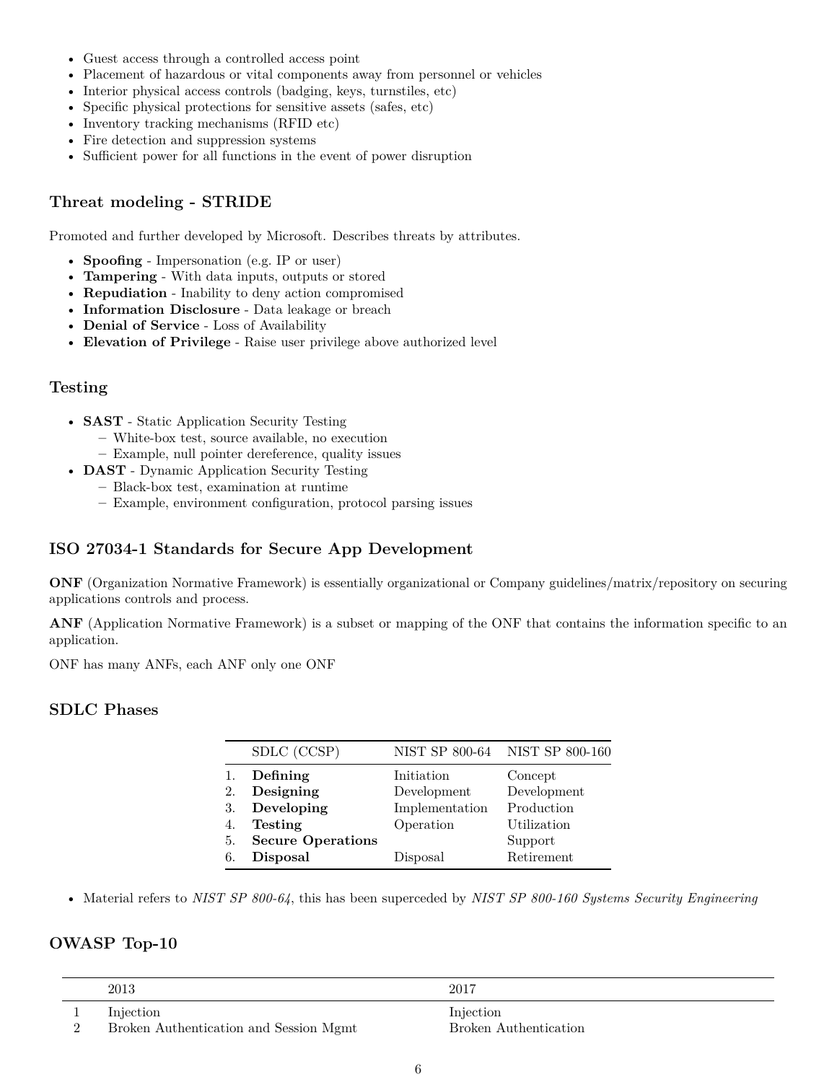- Guest access through a controlled access point
- Placement of hazardous or vital components away from personnel or vehicles
- Interior physical access controls (badging, keys, turnstiles, etc)
- Specific physical protections for sensitive assets (safes, etc)
- Inventory tracking mechanisms (RFID etc)
- Fire detection and suppression systems
- Sufficient power for all functions in the event of power disruption

### <span id="page-5-0"></span>**Threat modeling - STRIDE**

Promoted and further developed by Microsoft. Describes threats by attributes.

- **Spoofing** Impersonation (e.g. IP or user)
- **Tampering** With data inputs, outputs or stored
- **Repudiation** Inability to deny action compromised
- **Information Disclosure** Data leakage or breach
- **Denial of Service** Loss of Availability
- **Elevation of Privilege** Raise user privilege above authorized level

### <span id="page-5-1"></span>**Testing**

- **SAST** Static Application Security Testing
	- **–** White-box test, source available, no execution
	- **–** Example, null pointer dereference, quality issues
- **DAST** Dynamic Application Security Testing
	- **–** Black-box test, examination at runtime
		- **–** Example, environment configuration, protocol parsing issues

# <span id="page-5-2"></span>**ISO 27034-1 Standards for Secure App Development**

**ONF** (Organization Normative Framework) is essentially organizational or Company guidelines/matrix/repository on securing applications controls and process.

**ANF** (Application Normative Framework) is a subset or mapping of the ONF that contains the information specific to an application.

ONF has many ANFs, each ANF only one ONF

### <span id="page-5-3"></span>**SDLC Phases**

|    | SDLC (CCSP)              |                | NIST SP 800-64 NIST SP 800-160 |
|----|--------------------------|----------------|--------------------------------|
| 1. | Defining                 | Initiation     | Concept                        |
| 2. | Designing                | Development    | Development                    |
| 3. | Developing               | Implementation | Production                     |
| 4. | <b>Testing</b>           | Operation      | Utilization                    |
| 5. | <b>Secure Operations</b> |                | Support                        |
| 6. | <b>Disposal</b>          | Disposal       | Retirement                     |

• Material refers to *NIST SP 800-64*, this has been superceded by *NIST SP 800-160 Systems Security Engineering*

# <span id="page-5-4"></span>**OWASP Top-10**

| 2013                                                | 2017                               |
|-----------------------------------------------------|------------------------------------|
| Injection<br>Broken Authentication and Session Mgmt | Injection<br>Broken Authentication |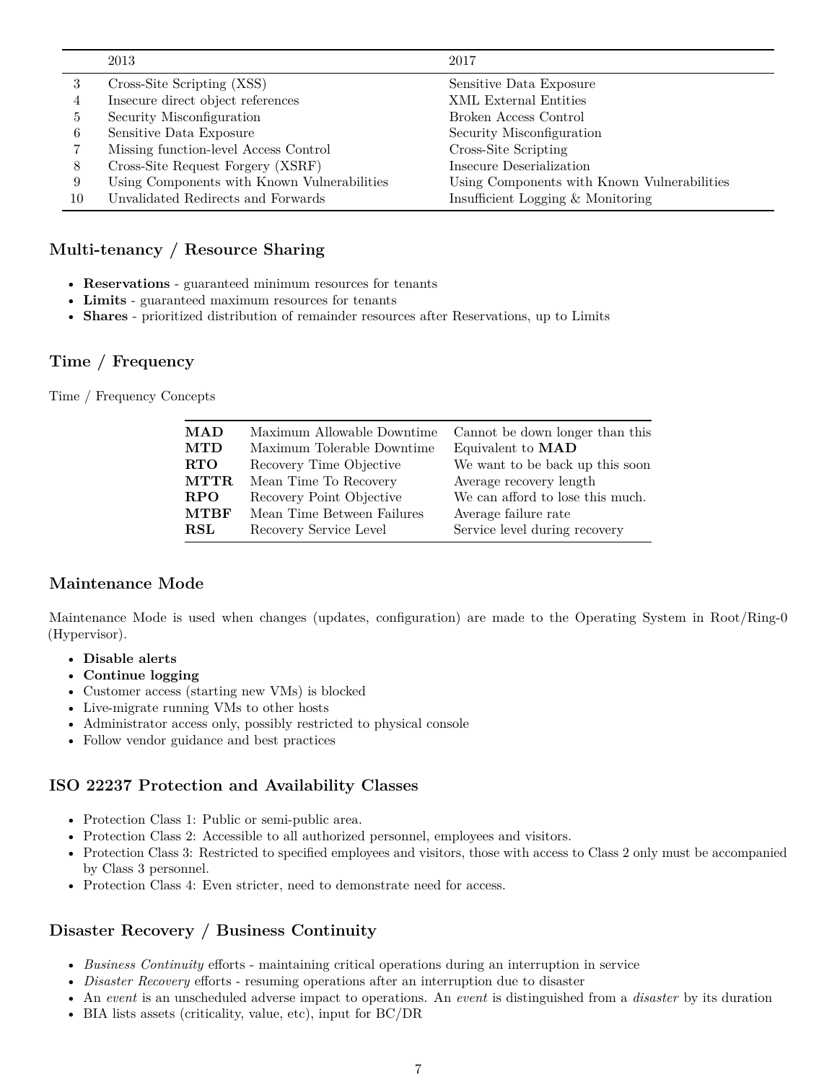|    | 2013                                        | 2017                                        |
|----|---------------------------------------------|---------------------------------------------|
| 3  | Cross-Site Scripting (XSS)                  | Sensitive Data Exposure                     |
| 4  | Insecure direct object references           | <b>XML</b> External Entities                |
| 5. | Security Misconfiguration                   | Broken Access Control                       |
| 6  | Sensitive Data Exposure                     | Security Misconfiguration                   |
|    | Missing function-level Access Control       | Cross-Site Scripting                        |
| 8  | Cross-Site Request Forgery (XSRF)           | Insecure Deserialization                    |
| 9  | Using Components with Known Vulnerabilities | Using Components with Known Vulnerabilities |
| 10 | Unvalidated Redirects and Forwards          | Insufficient Logging & Monitoring           |

### <span id="page-6-0"></span>**Multi-tenancy / Resource Sharing**

- **Reservations** guaranteed minimum resources for tenants
- **Limits** guaranteed maximum resources for tenants
- **Shares** prioritized distribution of remainder resources after Reservations, up to Limits

#### <span id="page-6-1"></span>**Time / Frequency**

Time / Frequency Concepts

| <b>MAD</b>  | Maximum Allowable Downtime | Cannot be down longer than this  |
|-------------|----------------------------|----------------------------------|
| <b>MTD</b>  | Maximum Tolerable Downtime | Equivalent to MAD                |
| <b>RTO</b>  | Recovery Time Objective    | We want to be back up this soon  |
| <b>MTTR</b> | Mean Time To Recovery      | Average recovery length          |
| <b>RPO</b>  | Recovery Point Objective   | We can afford to lose this much. |
| <b>MTBF</b> | Mean Time Between Failures | Average failure rate             |
| <b>RSL</b>  | Recovery Service Level     | Service level during recovery    |

### <span id="page-6-2"></span>**Maintenance Mode**

Maintenance Mode is used when changes (updates, configuration) are made to the Operating System in Root/Ring-0 (Hypervisor).

- **Disable alerts**
- **Continue logging**
- Customer access (starting new VMs) is blocked
- Live-migrate running VMs to other hosts
- Administrator access only, possibly restricted to physical console
- Follow vendor guidance and best practices

# <span id="page-6-3"></span>**ISO 22237 Protection and Availability Classes**

- Protection Class 1: Public or semi-public area.
- Protection Class 2: Accessible to all authorized personnel, employees and visitors.
- Protection Class 3: Restricted to specified employees and visitors, those with access to Class 2 only must be accompanied by Class 3 personnel.
- Protection Class 4: Even stricter, need to demonstrate need for access.

# <span id="page-6-4"></span>**Disaster Recovery / Business Continuity**

- *Business Continuity* efforts maintaining critical operations during an interruption in service
- *Disaster Recovery* efforts resuming operations after an interruption due to disaster
- An *event* is an unscheduled adverse impact to operations. An *event* is distinguished from a *disaster* by its duration
- BIA lists assets (criticality, value, etc), input for BC/DR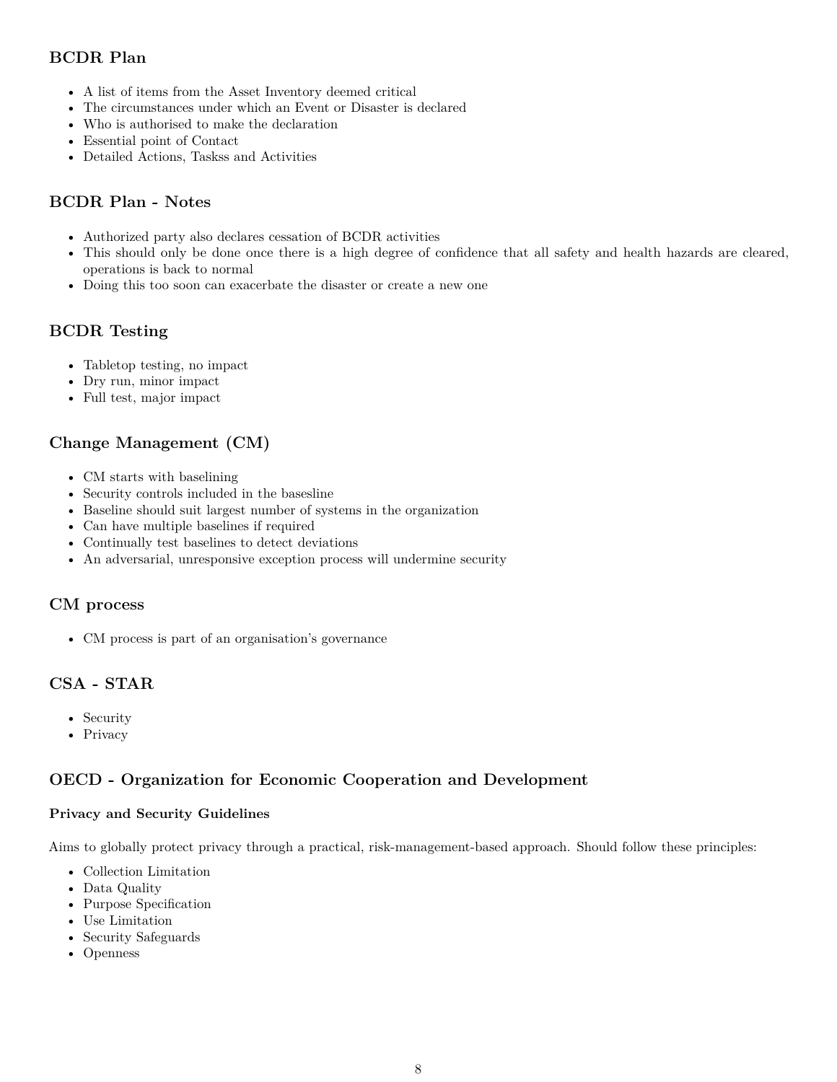# <span id="page-7-0"></span>**BCDR Plan**

- A list of items from the Asset Inventory deemed critical
- The circumstances under which an Event or Disaster is declared
- Who is authorised to make the declaration
- Essential point of Contact
- Detailed Actions, Taskss and Activities

# <span id="page-7-1"></span>**BCDR Plan - Notes**

- Authorized party also declares cessation of BCDR activities
- This should only be done once there is a high degree of confidence that all safety and health hazards are cleared, operations is back to normal
- Doing this too soon can exacerbate the disaster or create a new one

# <span id="page-7-2"></span>**BCDR Testing**

- Tabletop testing, no impact
- Dry run, minor impact
- Full test, major impact

# <span id="page-7-3"></span>**Change Management (CM)**

- CM starts with baselining
- Security controls included in the basesline
- Baseline should suit largest number of systems in the organization
- Can have multiple baselines if required
- Continually test baselines to detect deviations
- An adversarial, unresponsive exception process will undermine security

# <span id="page-7-4"></span>**CM process**

• CM process is part of an organisation's governance

# <span id="page-7-5"></span>**CSA - STAR**

- Security
- Privacy

# <span id="page-7-6"></span>**OECD - Organization for Economic Cooperation and Development**

### <span id="page-7-7"></span>**Privacy and Security Guidelines**

Aims to globally protect privacy through a practical, risk-management-based approach. Should follow these principles:

- Collection Limitation
- Data Quality
- Purpose Specification
- Use Limitation
- Security Safeguards
- Openness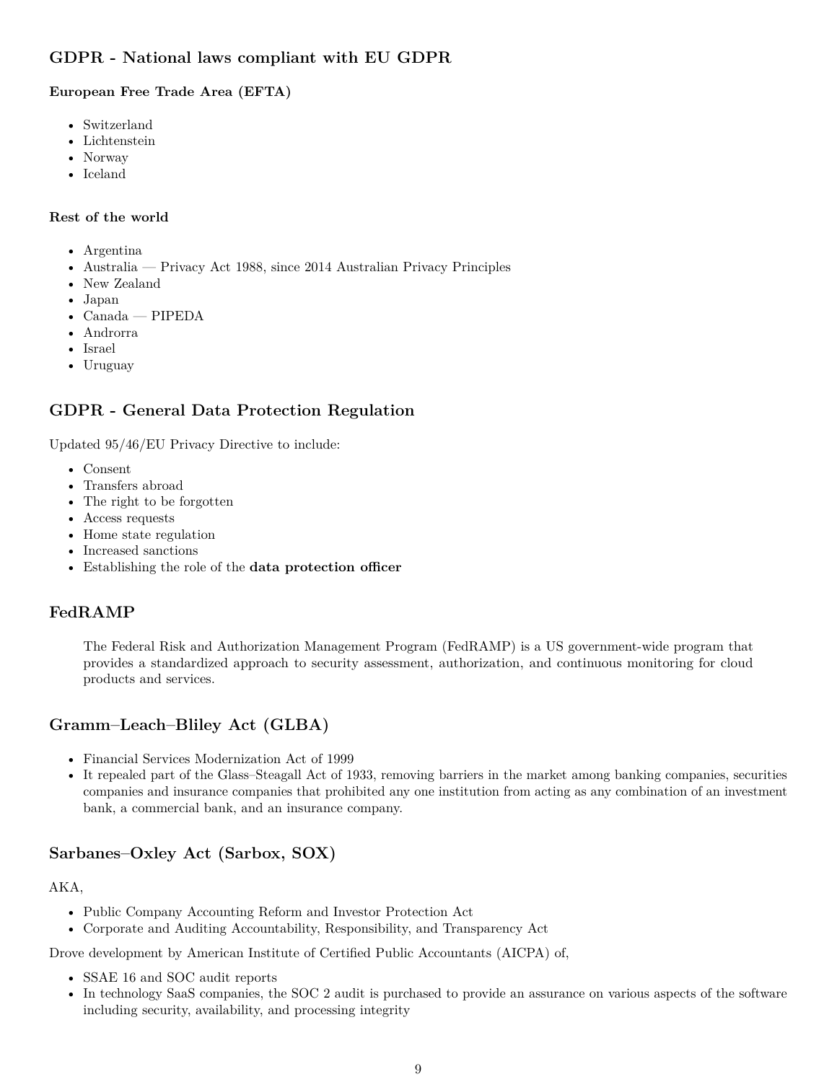# <span id="page-8-0"></span>**GDPR - National laws compliant with EU GDPR**

### <span id="page-8-1"></span>**European Free Trade Area (EFTA)**

- Switzerland
- Lichtenstein
- Norway
- Iceland

#### <span id="page-8-2"></span>**Rest of the world**

- Argentina
- Australia Privacy Act 1988, since 2014 Australian Privacy Principles
- New Zealand
- Japan
- Canada PIPEDA
- Androrra
- Israel
- Uruguay

# <span id="page-8-3"></span>**GDPR - General Data Protection Regulation**

Updated 95/46/EU Privacy Directive to include:

- Consent
- Transfers abroad
- The right to be forgotten
- Access requests
- Home state regulation
- Increased sanctions
- Establishing the role of the **data protection officer**

# <span id="page-8-4"></span>**FedRAMP**

The Federal Risk and Authorization Management Program (FedRAMP) is a US government-wide program that provides a standardized approach to security assessment, authorization, and continuous monitoring for cloud products and services.

# <span id="page-8-5"></span>**Gramm–Leach–Bliley Act (GLBA)**

- Financial Services Modernization Act of 1999
- It repealed part of the Glass–Steagall Act of 1933, removing barriers in the market among banking companies, securities companies and insurance companies that prohibited any one institution from acting as any combination of an investment bank, a commercial bank, and an insurance company.

# <span id="page-8-6"></span>**Sarbanes–Oxley Act (Sarbox, SOX)**

#### AKA,

- Public Company Accounting Reform and Investor Protection Act
- Corporate and Auditing Accountability, Responsibility, and Transparency Act

Drove development by American Institute of Certified Public Accountants (AICPA) of,

- SSAE 16 and SOC audit reports
- In technology SaaS companies, the SOC 2 audit is purchased to provide an assurance on various aspects of the software including security, availability, and processing integrity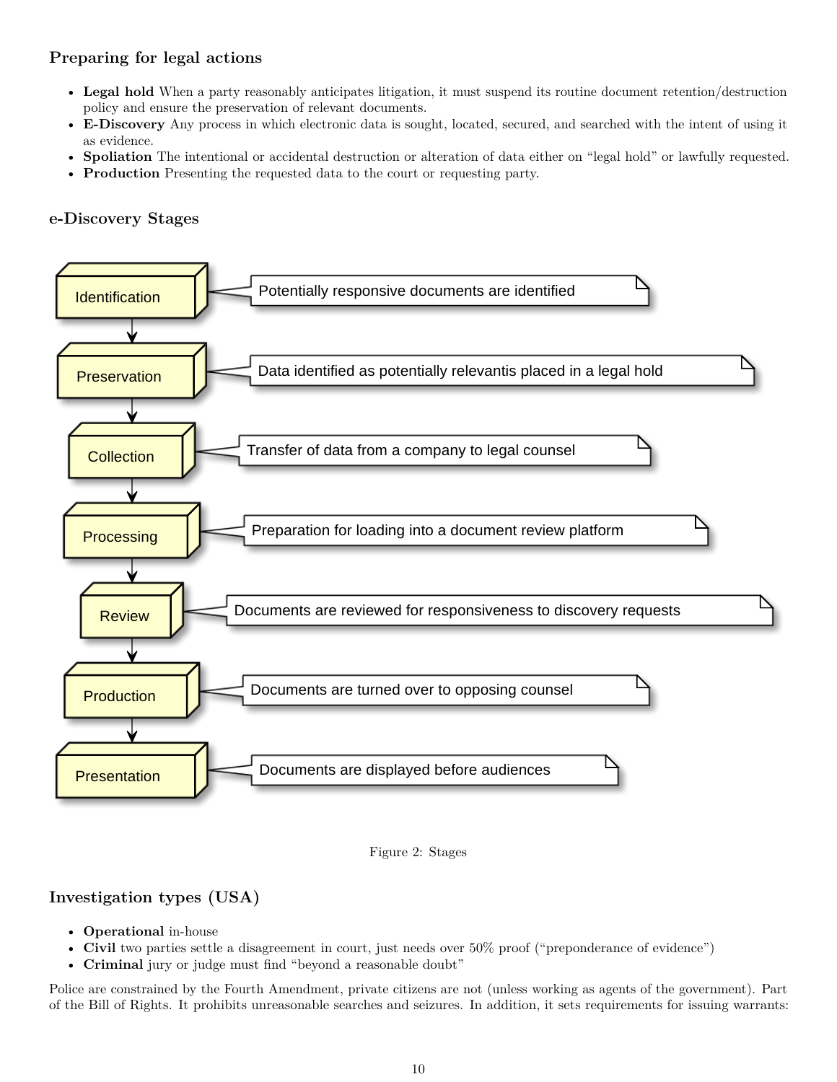# <span id="page-9-0"></span>**Preparing for legal actions**

- **Legal hold** When a party reasonably anticipates litigation, it must suspend its routine document retention/destruction policy and ensure the preservation of relevant documents.
- **E-Discovery** Any process in which electronic data is sought, located, secured, and searched with the intent of using it as evidence.
- **Spoliation** The intentional or accidental destruction or alteration of data either on "legal hold" or lawfully requested.
- **Production** Presenting the requested data to the court or requesting party.

# <span id="page-9-1"></span>**e-Discovery Stages**





# <span id="page-9-2"></span>**Investigation types (USA)**

- **Operational** in-house
- **Civil** two parties settle a disagreement in court, just needs over 50% proof ("preponderance of evidence")
- **Criminal** jury or judge must find "beyond a reasonable doubt"

Police are constrained by the Fourth Amendment, private citizens are not (unless working as agents of the government). Part of the Bill of Rights. It prohibits unreasonable searches and seizures. In addition, it sets requirements for issuing warrants: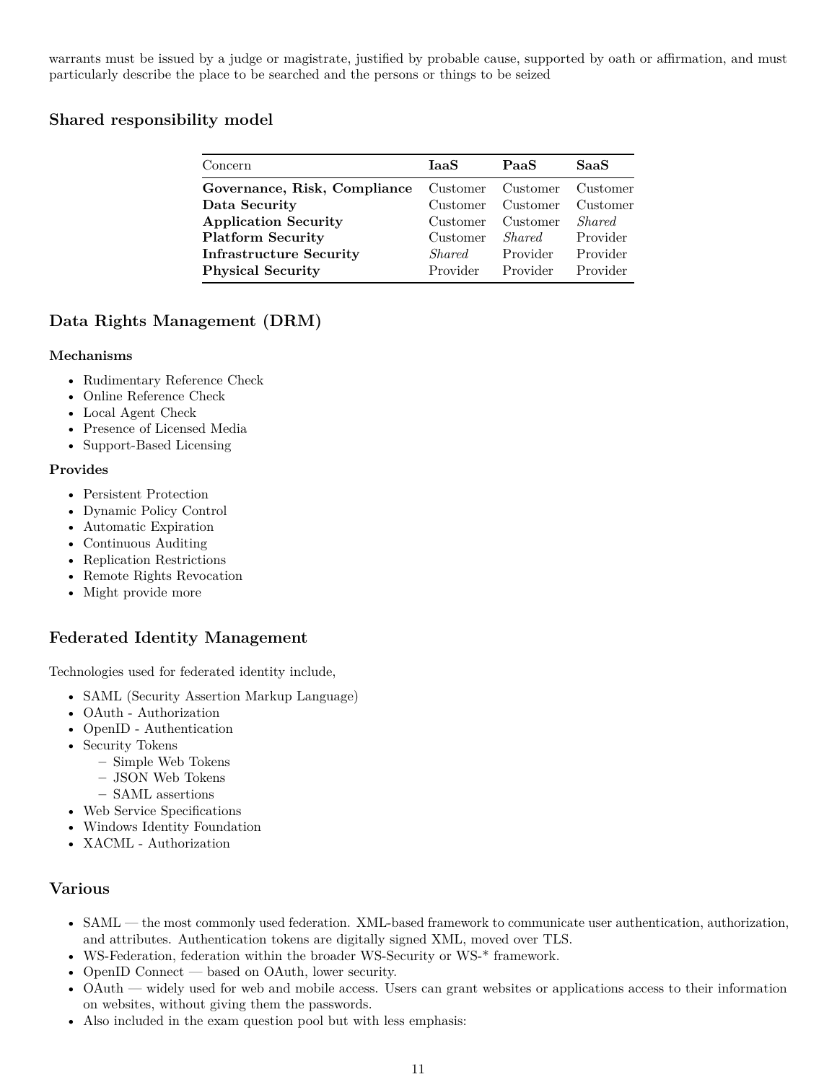warrants must be issued by a judge or magistrate, justified by probable cause, supported by oath or affirmation, and must particularly describe the place to be searched and the persons or things to be seized

# <span id="page-10-0"></span>**Shared responsibility model**

| Concern                        | IaaS          | PaaS              | SaaS          |
|--------------------------------|---------------|-------------------|---------------|
| Governance, Risk, Compliance   |               | Customer Customer | Customer      |
| Data Security                  | Customer      | Customer          | Customer      |
| <b>Application Security</b>    | Customer      | Customer          | <i>Shared</i> |
| <b>Platform Security</b>       | Customer      | <i>Shared</i>     | Provider      |
| <b>Infrastructure Security</b> | <i>Shared</i> | Provider          | Provider      |
| <b>Physical Security</b>       | Provider      | Provider          | Provider      |

# <span id="page-10-1"></span>**Data Rights Management (DRM)**

#### **Mechanisms**

- Rudimentary Reference Check
- Online Reference Check
- Local Agent Check
- Presence of Licensed Media
- Support-Based Licensing

#### **Provides**

- Persistent Protection
- Dynamic Policy Control
- Automatic Expiration
- Continuous Auditing
- Replication Restrictions
- Remote Rights Revocation
- Might provide more

# <span id="page-10-2"></span>**Federated Identity Management**

Technologies used for federated identity include,

- SAML (Security Assertion Markup Language)
- OAuth Authorization
- OpenID Authentication
- Security Tokens
	- **–** Simple Web Tokens
	- **–** JSON Web Tokens
	- **–** SAML assertions
- Web Service Specifications
- Windows Identity Foundation
- XACML Authorization

# <span id="page-10-3"></span>**Various**

- SAML the most commonly used federation. XML-based framework to communicate user authentication, authorization, and attributes. Authentication tokens are digitally signed XML, moved over TLS.
- WS-Federation, federation within the broader WS-Security or WS-\* framework.
- OpenID Connect based on OAuth, lower security.
- OAuth widely used for web and mobile access. Users can grant websites or applications access to their information on websites, without giving them the passwords.
- Also included in the exam question pool but with less emphasis: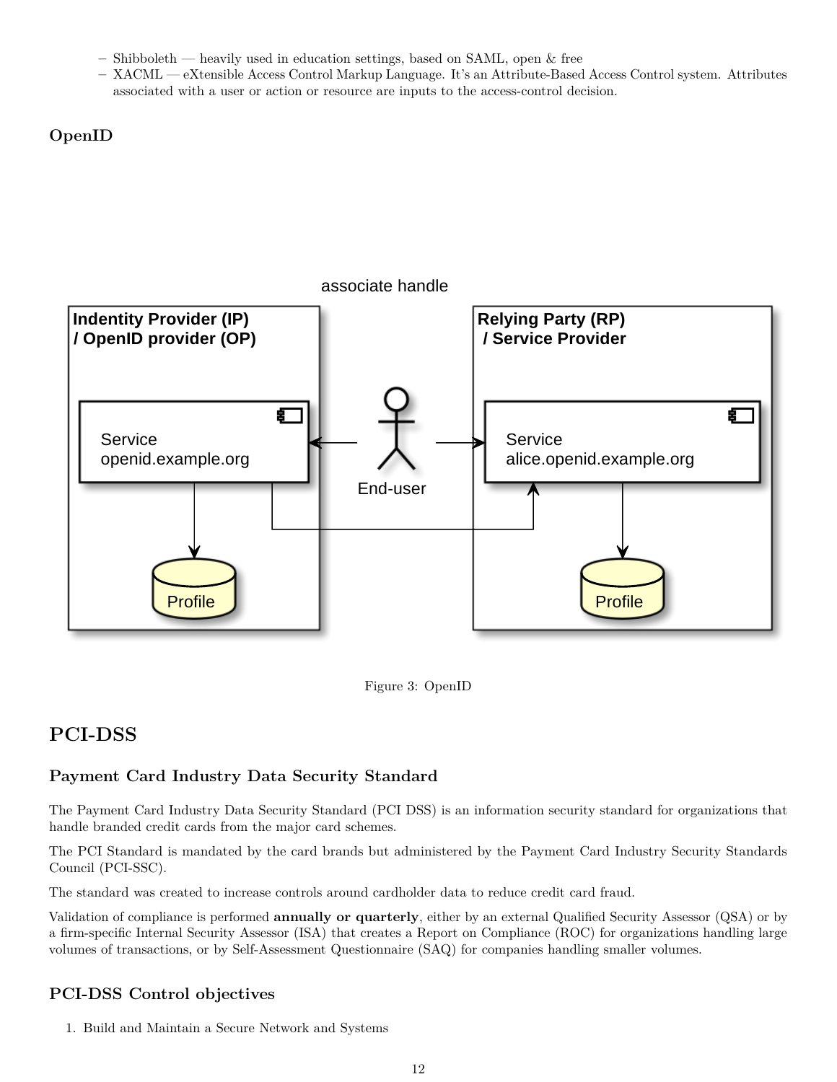- **–** Shibboleth heavily used in education settings, based on SAML, open & free
- **–** XACML eXtensible Access Control Markup Language. It's an Attribute-Based Access Control system. Attributes associated with a user or action or resource are inputs to the access-control decision.

<span id="page-11-0"></span>**OpenID**



Figure 3: OpenID

# <span id="page-11-1"></span>**PCI-DSS**

# <span id="page-11-2"></span>**Payment Card Industry Data Security Standard**

The Payment Card Industry Data Security Standard (PCI DSS) is an information security standard for organizations that handle branded credit cards from the major card schemes.

The PCI Standard is mandated by the card brands but administered by the Payment Card Industry Security Standards Council (PCI-SSC).

The standard was created to increase controls around cardholder data to reduce credit card fraud.

Validation of compliance is performed **annually or quarterly**, either by an external Qualified Security Assessor (QSA) or by a firm-specific Internal Security Assessor (ISA) that creates a Report on Compliance (ROC) for organizations handling large volumes of transactions, or by Self-Assessment Questionnaire (SAQ) for companies handling smaller volumes.

# <span id="page-11-3"></span>**PCI-DSS Control objectives**

1. Build and Maintain a Secure Network and Systems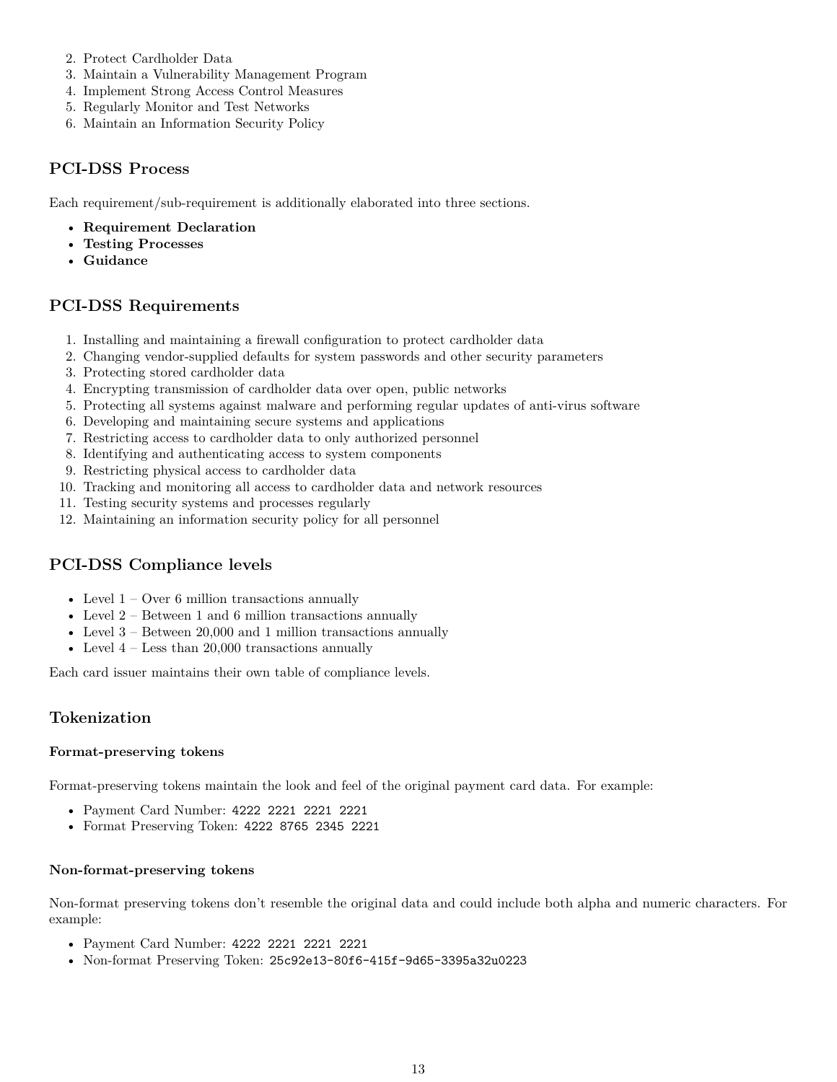- 2. Protect Cardholder Data
- 3. Maintain a Vulnerability Management Program
- 4. Implement Strong Access Control Measures
- 5. Regularly Monitor and Test Networks
- 6. Maintain an Information Security Policy

### <span id="page-12-0"></span>**PCI-DSS Process**

Each requirement/sub-requirement is additionally elaborated into three sections.

- **Requirement Declaration**
- **Testing Processes**
- **Guidance**

### <span id="page-12-1"></span>**PCI-DSS Requirements**

- 1. Installing and maintaining a firewall configuration to protect cardholder data
- 2. Changing vendor-supplied defaults for system passwords and other security parameters
- 3. Protecting stored cardholder data
- 4. Encrypting transmission of cardholder data over open, public networks
- 5. Protecting all systems against malware and performing regular updates of anti-virus software
- 6. Developing and maintaining secure systems and applications
- 7. Restricting access to cardholder data to only authorized personnel
- 8. Identifying and authenticating access to system components
- 9. Restricting physical access to cardholder data
- 10. Tracking and monitoring all access to cardholder data and network resources
- 11. Testing security systems and processes regularly
- 12. Maintaining an information security policy for all personnel

# <span id="page-12-2"></span>**PCI-DSS Compliance levels**

- Level  $1 -$  Over 6 million transactions annually
- Level  $2$  Between  $1$  and  $6$  million transactions annually
- Level  $3$  Between 20,000 and 1 million transactions annually
- Level  $4$  Less than 20,000 transactions annually

Each card issuer maintains their own table of compliance levels.

### <span id="page-12-3"></span>**Tokenization**

#### <span id="page-12-4"></span>**Format-preserving tokens**

Format-preserving tokens maintain the look and feel of the original payment card data. For example:

- Payment Card Number: 4222 2221 2221 2221
- Format Preserving Token: 4222 8765 2345 2221

#### <span id="page-12-5"></span>**Non-format-preserving tokens**

Non-format preserving tokens don't resemble the original data and could include both alpha and numeric characters. For example:

- Payment Card Number: 4222 2221 2221 2221
- Non-format Preserving Token: 25c92e13-80f6-415f-9d65-3395a32u0223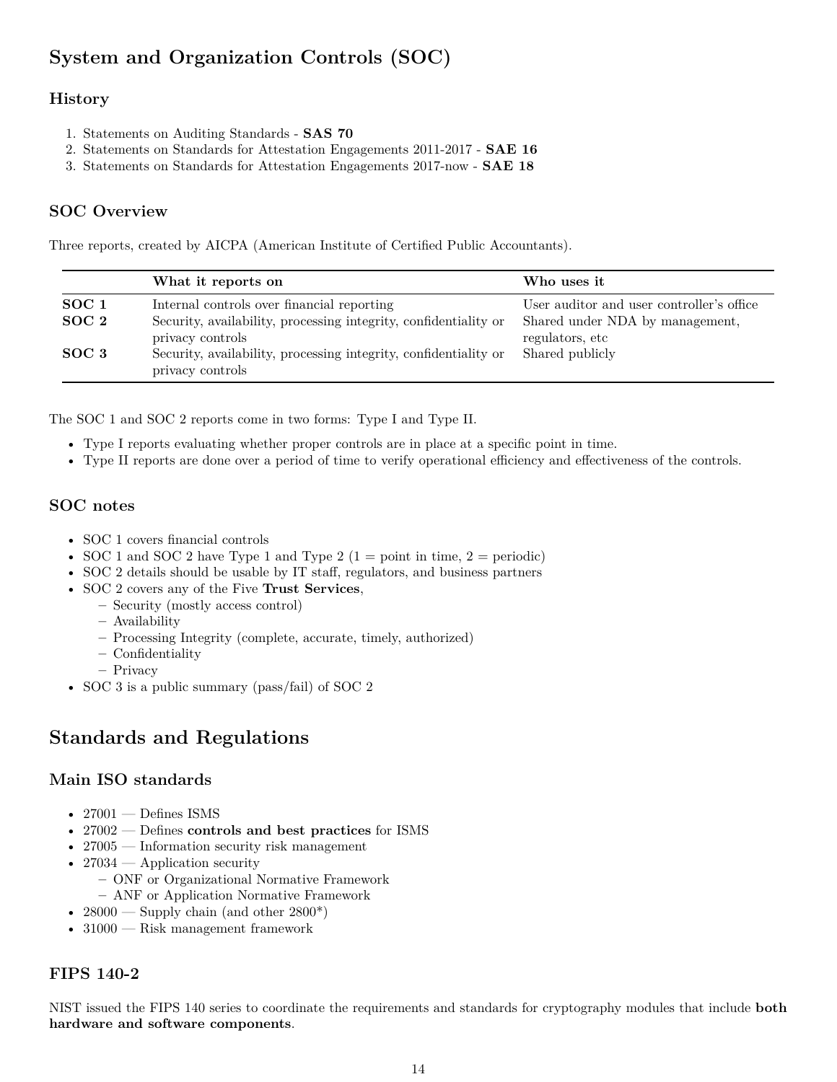# <span id="page-13-0"></span>**System and Organization Controls (SOC)**

# <span id="page-13-1"></span>**History**

- 1. Statements on Auditing Standards **SAS 70**
- 2. Statements on Standards for Attestation Engagements 2011-2017 **SAE 16**
- 3. Statements on Standards for Attestation Engagements 2017-now **SAE 18**

# <span id="page-13-2"></span>**SOC Overview**

Three reports, created by AICPA (American Institute of Certified Public Accountants).

|                                      | What it reports on                                                                                                                 | Who uses it                                                                                     |
|--------------------------------------|------------------------------------------------------------------------------------------------------------------------------------|-------------------------------------------------------------------------------------------------|
| SOC <sub>1</sub><br>SOC <sub>2</sub> | Internal controls over financial reporting<br>Security, availability, processing integrity, confidentiality or<br>privacy controls | User auditor and user controller's office<br>Shared under NDA by management,<br>regulators, etc |
| $SOC_3$                              | Security, availability, processing integrity, confidentiality or<br>privacy controls                                               | Shared publicly                                                                                 |

The SOC 1 and SOC 2 reports come in two forms: Type I and Type II.

- Type I reports evaluating whether proper controls are in place at a specific point in time.
- Type II reports are done over a period of time to verify operational efficiency and effectiveness of the controls.

### <span id="page-13-3"></span>**SOC notes**

- SOC 1 covers financial controls
- SOC 1 and SOC 2 have Type 1 and Type 2 (1 = point in time,  $2 =$  periodic)
- SOC 2 details should be usable by IT staff, regulators, and business partners
- SOC 2 covers any of the Five **Trust Services**,
	- **–** Security (mostly access control)
		- **–** Availability
		- **–** Processing Integrity (complete, accurate, timely, authorized)
		- **–** Confidentiality
		- **–** Privacy
- SOC 3 is a public summary (pass/fail) of SOC 2

# <span id="page-13-4"></span>**Standards and Regulations**

# <span id="page-13-5"></span>**Main ISO standards**

- 27001 Defines ISMS
- 27002 Defines **controls and best practices** for ISMS
- 27005 Information security risk management
- 27034 Application security
	- **–** ONF or Organizational Normative Framework
	- **–** ANF or Application Normative Framework
- 28000 Supply chain (and other  $2800^*$ )
- 31000 Risk management framework

# <span id="page-13-6"></span>**FIPS 140-2**

NIST issued the FIPS 140 series to coordinate the requirements and standards for cryptography modules that include **both hardware and software components**.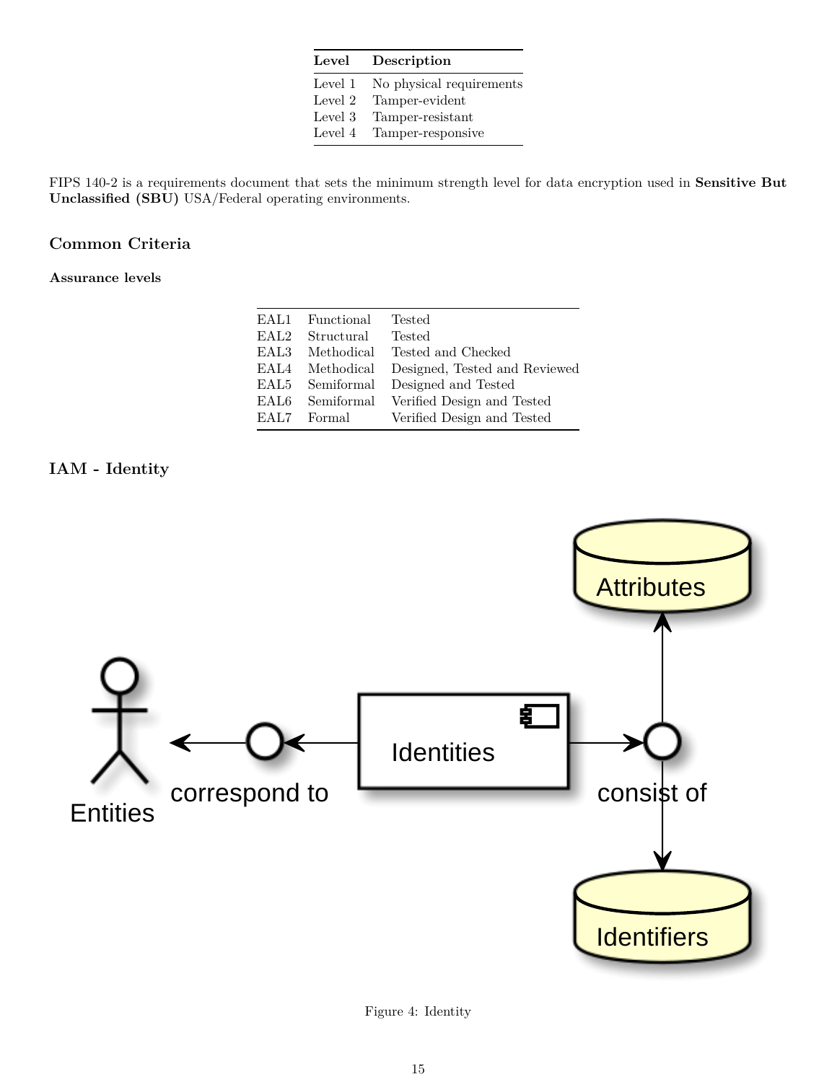| ${\rm Level}$ | Description              |  |
|---------------|--------------------------|--|
| Level 1       | No physical requirements |  |
| Level 2       | Tamper-evident           |  |
| Level 3       | Tamper-resistant         |  |
| Level 4       | Tamper-responsive        |  |

FIPS 140-2 is a requirements document that sets the minimum strength level for data encryption used in **Sensitive But Unclassified (SBU)** USA/Federal operating environments.

# <span id="page-14-0"></span>**Common Criteria**

<span id="page-14-1"></span>**Assurance levels**

| EAL1       | Functional | <b>Tested</b>                         |
|------------|------------|---------------------------------------|
| EAL2-      | Structural | <b>Tested</b>                         |
| EAL3.      |            | Methodical Tested and Checked         |
| EAL4       | Methodical | Designed, Tested and Reviewed         |
| $\rm EAL5$ |            | Semiformal Designed and Tested        |
| EAL6.      |            | Semiformal Verified Design and Tested |
| EAL7.      | Formal     | Verified Design and Tested            |
|            |            |                                       |

<span id="page-14-2"></span>**IAM - Identity**



Figure 4: Identity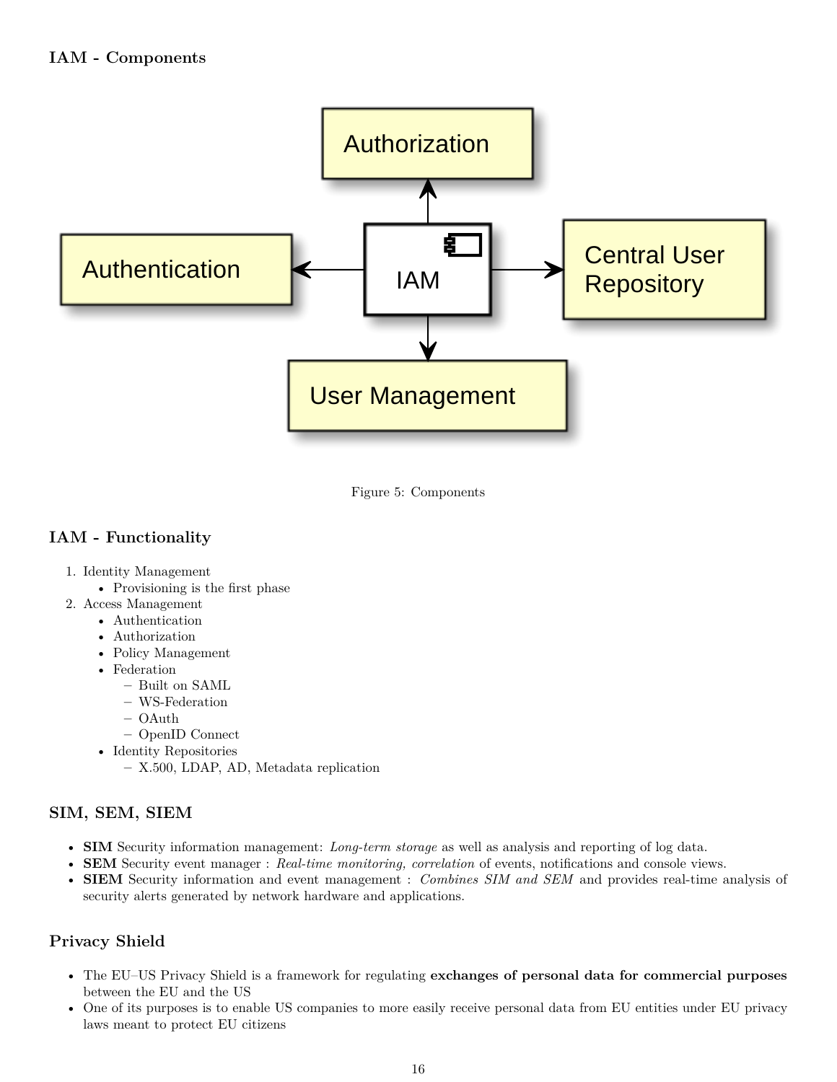<span id="page-15-0"></span>

Figure 5: Components

# <span id="page-15-1"></span>**IAM - Functionality**

- 1. Identity Management
	- Provisioning is the first phase
- 2. Access Management
	- Authentication
	- Authorization
	- Policy Management
	- Federation
		- **–** Built on SAML
		- **–** WS-Federation
		- **–** OAuth
		- **–** OpenID Connect
	- Identity Repositories
		- **–** X.500, LDAP, AD, Metadata replication

# <span id="page-15-2"></span>**SIM, SEM, SIEM**

- **SIM** Security information management: *Long-term storage* as well as analysis and reporting of log data.
- **SEM** Security event manager : *Real-time monitoring, correlation* of events, notifications and console views.
- **SIEM** Security information and event management : *Combines SIM and SEM* and provides real-time analysis of security alerts generated by network hardware and applications.

# <span id="page-15-3"></span>**Privacy Shield**

- The EU–US Privacy Shield is a framework for regulating **exchanges of personal data for commercial purposes** between the EU and the US
- One of its purposes is to enable US companies to more easily receive personal data from EU entities under EU privacy laws meant to protect EU citizens